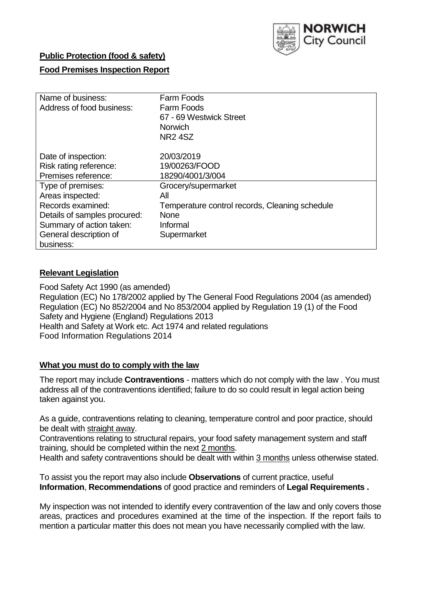

## **Public Protection (food & safety)**

## **Food Premises Inspection Report**

| Name of business:<br>Address of food business: | Farm Foods<br>Farm Foods<br>67 - 69 Westwick Street<br><b>Norwich</b> |
|------------------------------------------------|-----------------------------------------------------------------------|
|                                                | <b>NR24SZ</b>                                                         |
| Date of inspection:                            | 20/03/2019                                                            |
| Risk rating reference:                         | 19/00263/FOOD                                                         |
| Premises reference:                            | 18290/4001/3/004                                                      |
| Type of premises:                              | Grocery/supermarket                                                   |
| Areas inspected:                               | All                                                                   |
| Records examined:                              | Temperature control records, Cleaning schedule                        |
| Details of samples procured:                   | <b>None</b>                                                           |
| Summary of action taken:                       | Informal                                                              |
| General description of                         | Supermarket                                                           |
| business:                                      |                                                                       |

#### **Relevant Legislation**

Food Safety Act 1990 (as amended) Regulation (EC) No 178/2002 applied by The General Food Regulations 2004 (as amended) Regulation (EC) No 852/2004 and No 853/2004 applied by Regulation 19 (1) of the Food Safety and Hygiene (England) Regulations 2013 Health and Safety at Work etc. Act 1974 and related regulations Food Information Regulations 2014

#### **What you must do to comply with the law**

The report may include **Contraventions** - matters which do not comply with the law . You must address all of the contraventions identified; failure to do so could result in legal action being taken against you.

As a guide, contraventions relating to cleaning, temperature control and poor practice, should be dealt with straight away.

Contraventions relating to structural repairs, your food safety management system and staff training, should be completed within the next 2 months.

Health and safety contraventions should be dealt with within 3 months unless otherwise stated.

To assist you the report may also include **Observations** of current practice, useful **Information**, **Recommendations** of good practice and reminders of **Legal Requirements .**

My inspection was not intended to identify every contravention of the law and only covers those areas, practices and procedures examined at the time of the inspection. If the report fails to mention a particular matter this does not mean you have necessarily complied with the law.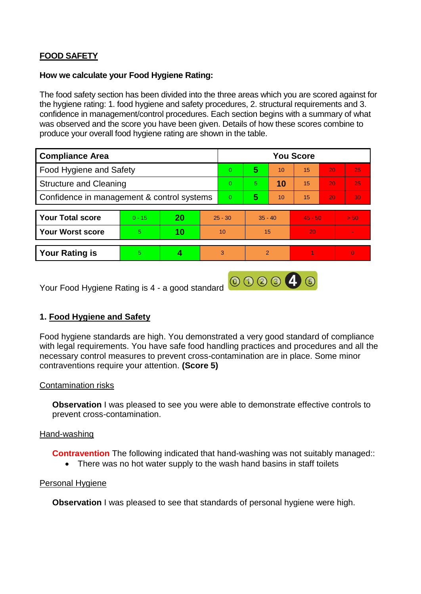# **FOOD SAFETY**

#### **How we calculate your Food Hygiene Rating:**

The food safety section has been divided into the three areas which you are scored against for the hygiene rating: 1. food hygiene and safety procedures, 2. structural requirements and 3. confidence in management/control procedures. Each section begins with a summary of what was observed and the score you have been given. Details of how these scores combine to produce your overall food hygiene rating are shown in the table.

| <b>Compliance Area</b>                     |          |    |           | <b>You Score</b> |                |    |           |    |          |  |  |
|--------------------------------------------|----------|----|-----------|------------------|----------------|----|-----------|----|----------|--|--|
| Food Hygiene and Safety                    |          |    |           | $\Omega$         | 5              | 10 | 15        | 20 | 25       |  |  |
| <b>Structure and Cleaning</b>              |          |    |           | $\Omega$         | 5.             | 10 | 15        | 20 | 25       |  |  |
| Confidence in management & control systems |          |    |           | $\Omega$         | 5              | 10 | 15        | 20 | 30       |  |  |
|                                            |          |    |           |                  |                |    |           |    |          |  |  |
| <b>Your Total score</b>                    | $0 - 15$ | 20 | $25 - 30$ |                  | $35 - 40$      |    | $45 - 50$ |    | > 50     |  |  |
| <b>Your Worst score</b>                    | 5        | 10 | 10        |                  | 15             |    | 20        |    |          |  |  |
|                                            |          |    |           |                  |                |    |           |    |          |  |  |
| <b>Your Rating is</b>                      | 5        |    |           | 3                | $\overline{2}$ |    |           |    | $\Omega$ |  |  |

Your Food Hygiene Rating is 4 - a good standard

# **1. Food Hygiene and Safety**

Food hygiene standards are high. You demonstrated a very good standard of compliance with legal requirements. You have safe food handling practices and procedures and all the necessary control measures to prevent cross-contamination are in place. Some minor contraventions require your attention. **(Score 5)**

000046

## Contamination risks

**Observation** I was pleased to see you were able to demonstrate effective controls to prevent cross-contamination.

#### Hand-washing

**Contravention** The following indicated that hand-washing was not suitably managed:

• There was no hot water supply to the wash hand basins in staff toilets

#### Personal Hygiene

**Observation** I was pleased to see that standards of personal hygiene were high.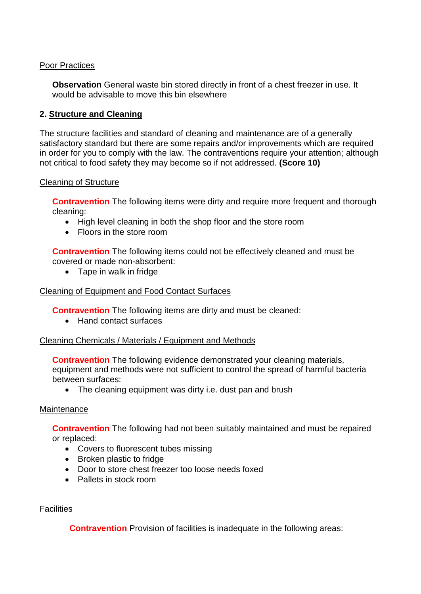## Poor Practices

**Observation** General waste bin stored directly in front of a chest freezer in use. It would be advisable to move this bin elsewhere

## **2. Structure and Cleaning**

The structure facilities and standard of cleaning and maintenance are of a generally satisfactory standard but there are some repairs and/or improvements which are required in order for you to comply with the law. The contraventions require your attention; although not critical to food safety they may become so if not addressed. **(Score 10)**

## Cleaning of Structure

**Contravention** The following items were dirty and require more frequent and thorough cleaning:

- High level cleaning in both the shop floor and the store room
- Floors in the store room

**Contravention** The following items could not be effectively cleaned and must be covered or made non-absorbent:

• Tape in walk in fridge

## Cleaning of Equipment and Food Contact Surfaces

**Contravention** The following items are dirty and must be cleaned:

• Hand contact surfaces

## Cleaning Chemicals / Materials / Equipment and Methods

**Contravention** The following evidence demonstrated your cleaning materials, equipment and methods were not sufficient to control the spread of harmful bacteria between surfaces:

• The cleaning equipment was dirty i.e. dust pan and brush

## Maintenance

**Contravention** The following had not been suitably maintained and must be repaired or replaced:

- Covers to fluorescent tubes missing
- Broken plastic to fridge
- Door to store chest freezer too loose needs foxed
- Pallets in stock room

## **Facilities**

**Contravention** Provision of facilities is inadequate in the following areas: